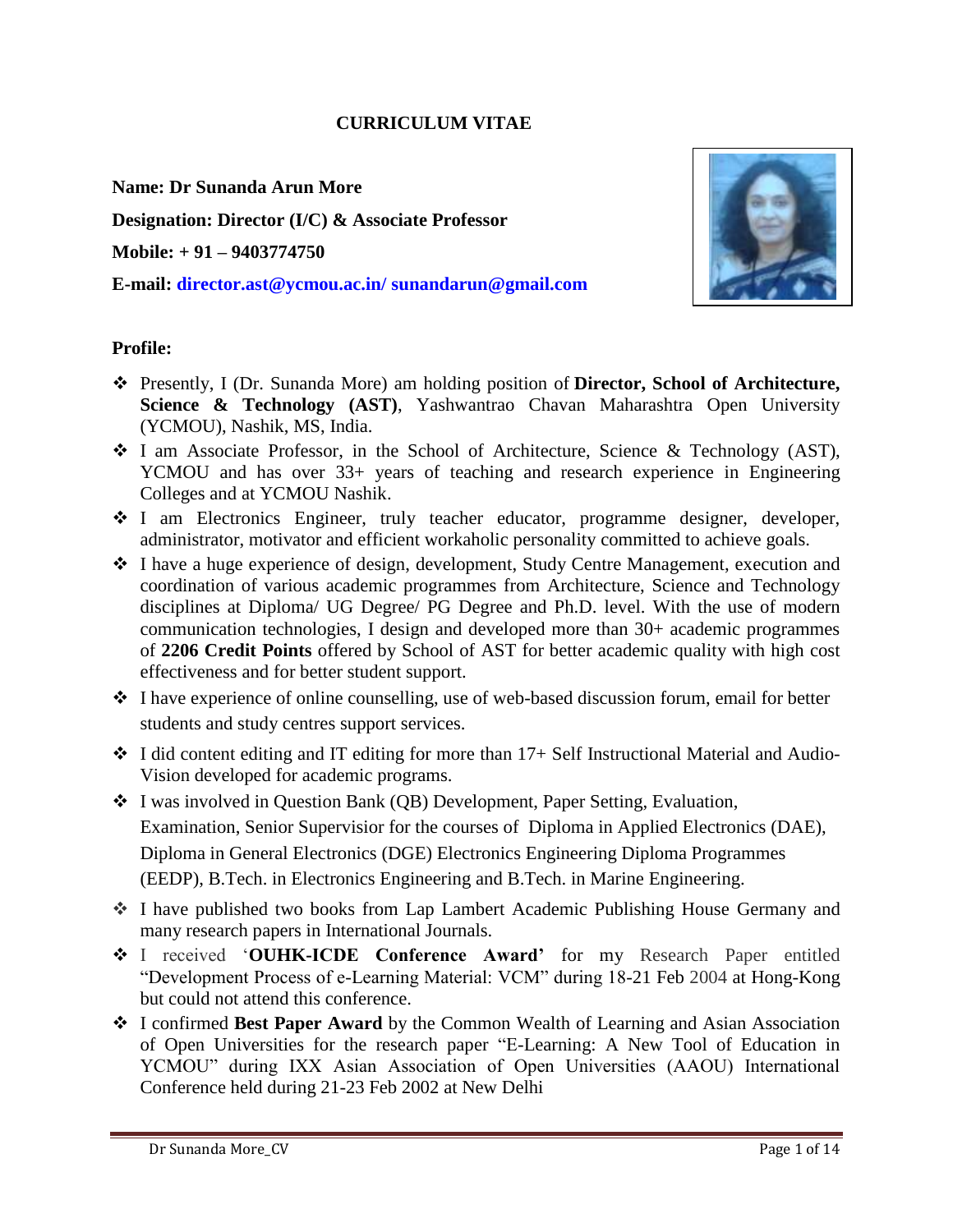#### **CURRICULUM VITAE**

**Name: Dr Sunanda Arun More**

**Designation: Director (I/C) & Associate Professor**

**Mobile: + 91 – 9403774750**

**E-mail: [director.ast@ycmou.ac.in/](mailto:director.ast@ycmou.ac.in/) [sunandarun@gmail.com](mailto:sunandarun@gmail.com)**



#### **Profile:**

- Presently, I (Dr. Sunanda More) am holding position of **Director, School of Architecture, Science & Technology (AST), Yashwantrao Chavan Maharashtra Open University** (YCMOU), Nashik, MS, India.
- I am Associate Professor, in the School of Architecture, Science & Technology (AST), YCMOU and has over  $33+$  years of teaching and research experience in Engineering Colleges and at YCMOU Nashik.
- I am Electronics Engineer, truly teacher educator, programme designer, developer, administrator, motivator and efficient workaholic personality committed to achieve goals.
- I have a huge experience of design, development, Study Centre Management, execution and coordination of various academic programmes from Architecture, Science and Technology disciplines at Diploma/ UG Degree/ PG Degree and Ph.D. level. With the use of modern communication technologies, I design and developed more than 30+ academic programmes of **2206 Credit Points** offered by School of AST for better academic quality with high cost effectiveness and for better student support.
- $\div$  I have experience of online counselling, use of web-based discussion forum, email for better students and study centres support services.
- $\cdot$  I did content editing and IT editing for more than 17+ Self Instructional Material and Audio-Vision developed for academic programs.
- I was involved in Question Bank (QB) Development, Paper Setting, Evaluation, Examination, Senior Supervisior for the courses of Diploma in Applied Electronics (DAE), Diploma in General Electronics (DGE) Electronics Engineering Diploma Programmes (EEDP), B.Tech. in Electronics Engineering and B.Tech. in Marine Engineering.
- I have published two books from Lap Lambert Academic Publishing House Germany and many research papers in International Journals.
- I received '**OUHK-ICDE Conference Award'** for my Research Paper entitled "Development Process of e-Learning Material: VCM" during 18-21 Feb 2004 at Hong-Kong but could not attend this conference.
- I confirmed **Best Paper Award** by the Common Wealth of Learning and Asian Association of Open Universities for the research paper "E-Learning: A New Tool of Education in YCMOU" during IXX Asian Association of Open Universities (AAOU) International Conference held during 21-23 Feb 2002 at New Delhi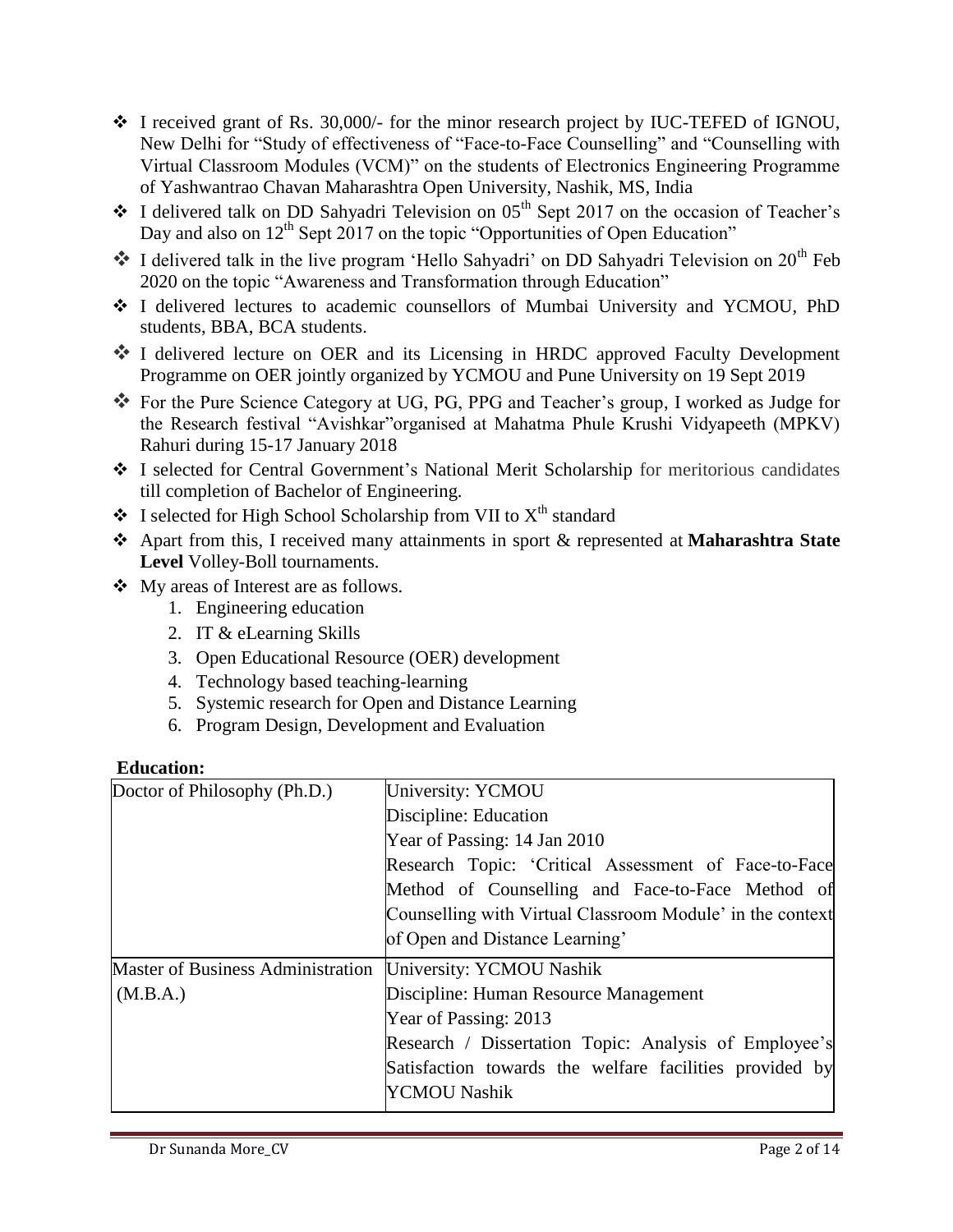- I received grant of Rs. 30,000/- for the minor research project by IUC-TEFED of IGNOU, New Delhi for "Study of effectiveness of "Face-to-Face Counselling" and "Counselling with Virtual Classroom Modules (VCM)" on the students of Electronics Engineering Programme of Yashwantrao Chavan Maharashtra Open University, Nashik, MS, India
- $\cdot$  I delivered talk on DD Sahyadri Television on 05<sup>th</sup> Sept 2017 on the occasion of Teacher's Day and also on  $12<sup>th</sup>$  Sept 2017 on the topic "Opportunities of Open Education"
- $\bullet$  I delivered talk in the live program 'Hello Sahyadri' on DD Sahyadri Television on 20<sup>th</sup> Feb 2020 on the topic "Awareness and Transformation through Education"
- I delivered lectures to academic counsellors of Mumbai University and YCMOU, PhD students, BBA, BCA students.
- I delivered lecture on OER and its Licensing in HRDC approved Faculty Development Programme on OER jointly organized by YCMOU and Pune University on 19 Sept 2019
- For the Pure Science Category at UG, PG, PPG and Teacher's group, I worked as Judge for the Research festival "Avishkar"organised at Mahatma Phule Krushi Vidyapeeth (MPKV) Rahuri during 15-17 January 2018
- I selected for Central Government's National Merit Scholarship for meritorious candidates till completion of Bachelor of Engineering.
- $\bullet$  I selected for High School Scholarship from VII to  $X<sup>th</sup>$  standard
- Apart from this, I received many attainments in sport & represented at **Maharashtra State Level** Volley-Boll tournaments.
- My areas of Interest are as follows.
	- 1. Engineering education
	- 2. IT & eLearning Skills
	- 3. Open Educational Resource (OER) development
	- 4. Technology based teaching-learning
	- 5. Systemic research for Open and Distance Learning
	- 6. Program Design, Development and Evaluation

#### **Education:**

| Doctor of Philosophy (Ph.D.)             | University: YCMOU                                         |
|------------------------------------------|-----------------------------------------------------------|
|                                          | Discipline: Education                                     |
|                                          | Year of Passing: 14 Jan 2010                              |
|                                          | Research Topic: 'Critical Assessment of Face-to-Face      |
|                                          | Method of Counselling and Face-to-Face Method of          |
|                                          | Counselling with Virtual Classroom Module' in the context |
|                                          | of Open and Distance Learning'                            |
| <b>Master of Business Administration</b> | University: YCMOU Nashik                                  |
| (M.B.A.)                                 | Discipline: Human Resource Management                     |
|                                          | Year of Passing: 2013                                     |
|                                          | Research / Dissertation Topic: Analysis of Employee's     |
|                                          | Satisfaction towards the welfare facilities provided by   |
|                                          | YCMOU Nashik                                              |
|                                          |                                                           |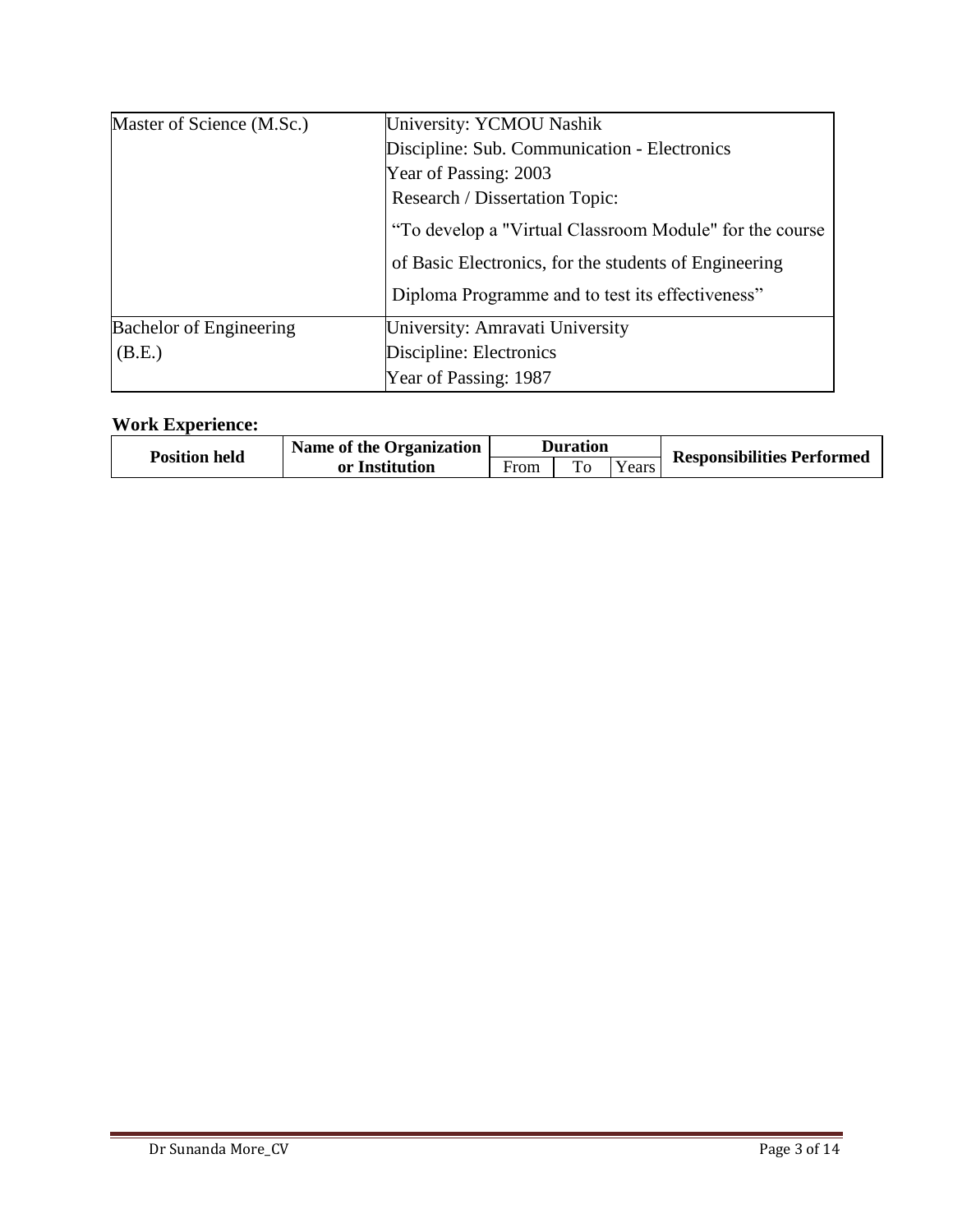| Master of Science (M.Sc.)      | University: YCMOU Nashik                                |
|--------------------------------|---------------------------------------------------------|
|                                | Discipline: Sub. Communication - Electronics            |
|                                | Year of Passing: 2003                                   |
|                                | Research / Dissertation Topic:                          |
|                                | "To develop a "Virtual Classroom Module" for the course |
|                                | of Basic Electronics, for the students of Engineering   |
|                                | Diploma Programme and to test its effectiveness"        |
| <b>Bachelor of Engineering</b> | University: Amravati University                         |
| (B.E.)                         | Discipline: Electronics                                 |
|                                | Year of Passing: 1987                                   |

## **Work Experience:**

| <b>Position held</b> | Name of the Organization | Duration |  |        | <b>Responsibilities Performed</b> |
|----------------------|--------------------------|----------|--|--------|-----------------------------------|
|                      | or Institution           | From     |  | vears. |                                   |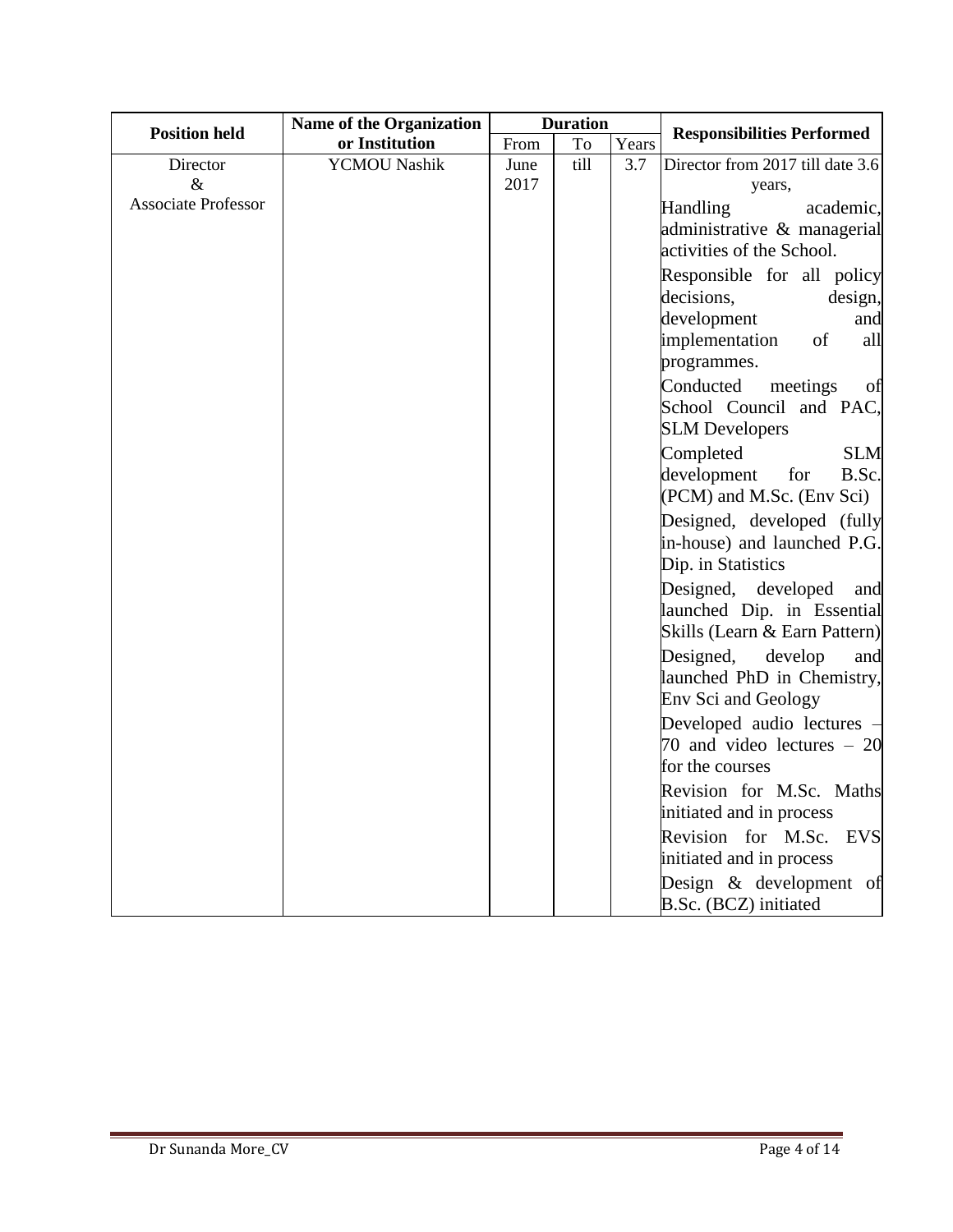|                                                | <b>Name of the Organization</b> | <b>Duration</b> |      |       |                                                                                                                                                               |  |
|------------------------------------------------|---------------------------------|-----------------|------|-------|---------------------------------------------------------------------------------------------------------------------------------------------------------------|--|
| <b>Position held</b>                           | or Institution                  | From            | To   | Years | <b>Responsibilities Performed</b>                                                                                                                             |  |
| Director<br>$\&$<br><b>Associate Professor</b> | <b>YCMOU Nashik</b>             | June<br>2017    | till | 3.7   | Director from 2017 till date 3.6<br>years,<br>Handling<br>academic,<br>administrative & managerial<br>activities of the School.<br>Responsible for all policy |  |
|                                                |                                 |                 |      |       | decisions,<br>design,<br>development<br>and<br>implementation<br>of<br>all<br>programmes.<br>Conducted<br>meetings<br>of                                      |  |
|                                                |                                 |                 |      |       | School Council and PAC,<br><b>SLM Developers</b>                                                                                                              |  |
|                                                |                                 |                 |      |       | Completed<br><b>SLM</b><br>development<br>for<br>B.Sc.<br>(PCM) and M.Sc. (Env Sci)                                                                           |  |
|                                                |                                 |                 |      |       | Designed, developed (fully<br>in-house) and launched P.G.<br>Dip. in Statistics                                                                               |  |
|                                                |                                 |                 |      |       | Designed,<br>developed<br>and<br>launched Dip. in Essential<br>Skills (Learn & Earn Pattern)                                                                  |  |
|                                                |                                 |                 |      |       | Designed,<br>develop<br>and<br>launched PhD in Chemistry,<br>Env Sci and Geology                                                                              |  |
|                                                |                                 |                 |      |       | Developed audio lectures -<br>70 and video lectures $-20$<br>for the courses                                                                                  |  |
|                                                |                                 |                 |      |       | Revision for M.Sc. Maths<br>initiated and in process                                                                                                          |  |
|                                                |                                 |                 |      |       | Revision for M.Sc.<br><b>EVS</b><br>initiated and in process                                                                                                  |  |
|                                                |                                 |                 |      |       | Design & development of<br>B.Sc. (BCZ) initiated                                                                                                              |  |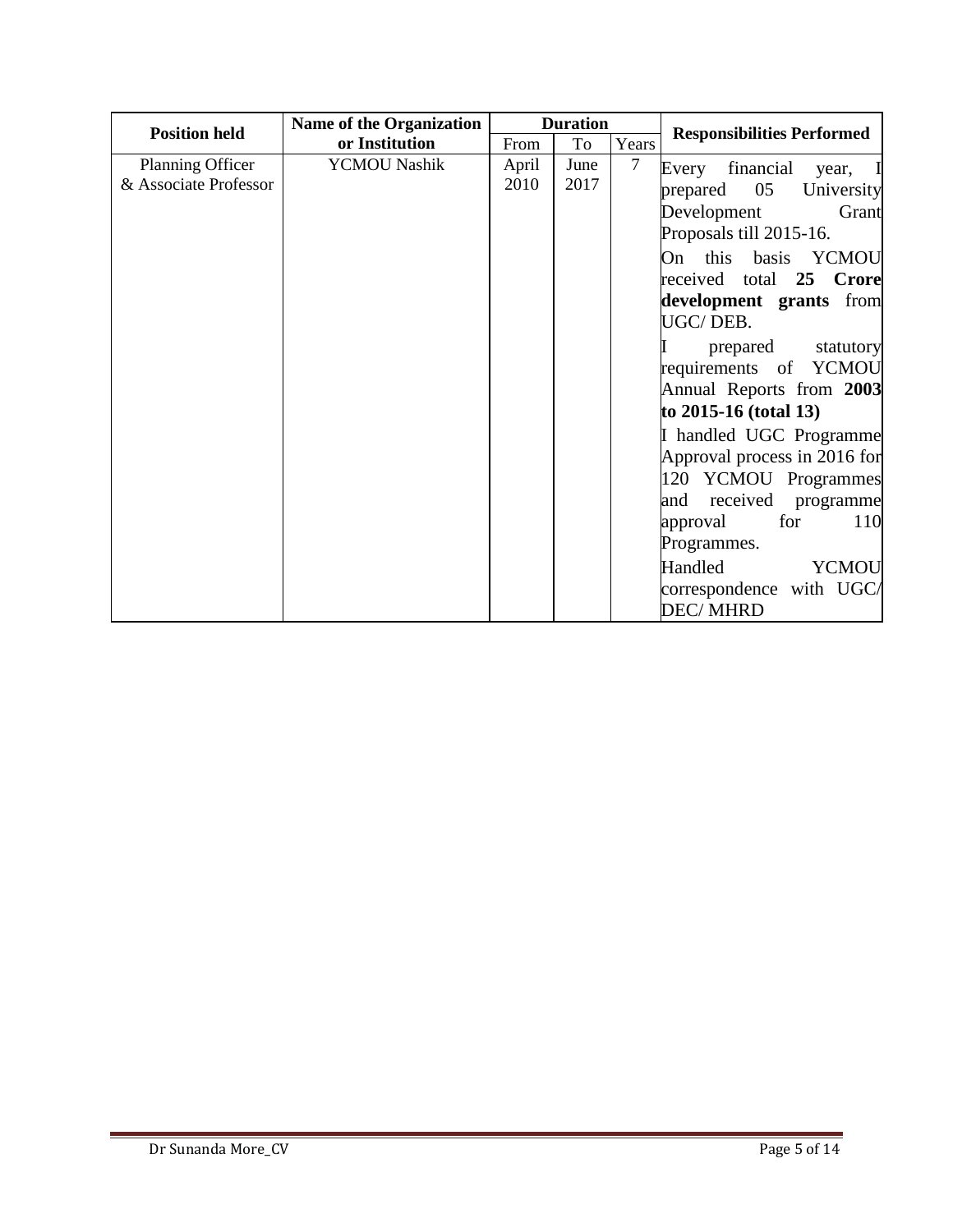|                                                                   | Name of the Organization |               | <b>Duration</b> |        |                                                                                                                                                                                                                                                                                                                                                                                                                 |
|-------------------------------------------------------------------|--------------------------|---------------|-----------------|--------|-----------------------------------------------------------------------------------------------------------------------------------------------------------------------------------------------------------------------------------------------------------------------------------------------------------------------------------------------------------------------------------------------------------------|
|                                                                   | or Institution           | From          | To              | Years  |                                                                                                                                                                                                                                                                                                                                                                                                                 |
| <b>Position held</b><br>Planning Officer<br>& Associate Professor | <b>YCMOU Nashik</b>      | April<br>2010 | June<br>2017    | $\tau$ | <b>Responsibilities Performed</b><br>Every financial<br>year,<br>05<br>prepared<br>University<br>Development<br>Grant<br>Proposals till 2015-16.<br>On this basis YCMOU<br>received total 25 Crore<br>development grants from<br>UGC/DEB.<br>prepared<br>statutory<br>requirements of YCMOU<br>Annual Reports from 2003<br>to $2015 - 16$ (total 13)<br>I handled UGC Programme<br>Approval process in 2016 for |
|                                                                   |                          |               |                 |        | 120 YCMOU Programmes<br>received programme<br>and<br>for<br>110<br>approval<br>Programmes.<br>Handled<br><b>YCMOU</b><br>correspondence with UGC/<br><b>DEC/MHRD</b>                                                                                                                                                                                                                                            |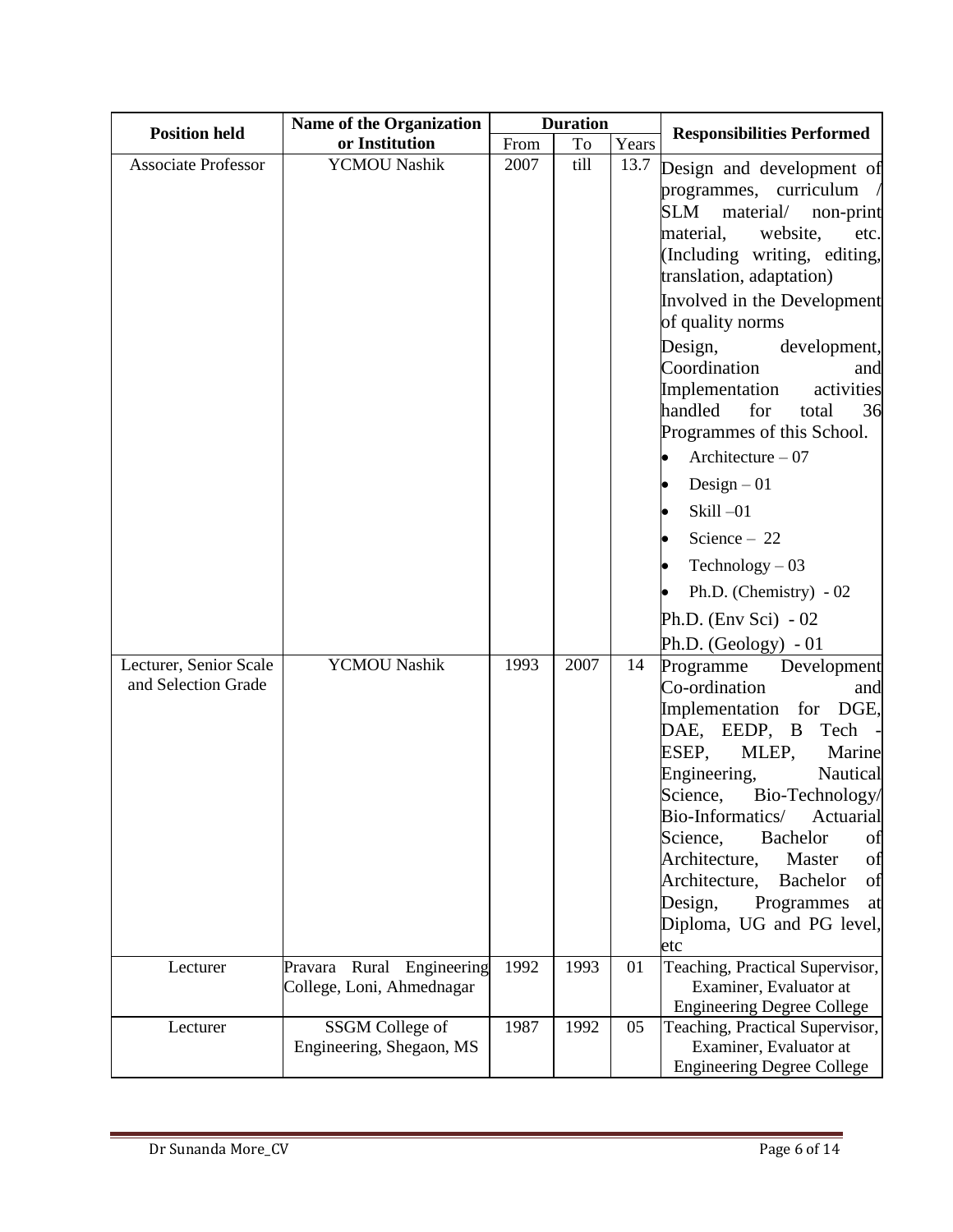| <b>Position held</b>       | <b>Name of the Organization</b> | <b>Duration</b> |      |       | <b>Responsibilities Performed</b>                                            |
|----------------------------|---------------------------------|-----------------|------|-------|------------------------------------------------------------------------------|
|                            | or Institution                  | From            | To   | Years |                                                                              |
| <b>Associate Professor</b> | <b>YCMOU Nashik</b>             | 2007            | till | 13.7  | Design and development of                                                    |
|                            |                                 |                 |      |       | programmes, curriculum $\sqrt{ }$                                            |
|                            |                                 |                 |      |       | SLM<br>material/<br>non-print                                                |
|                            |                                 |                 |      |       | material,<br>website,<br>etc.                                                |
|                            |                                 |                 |      |       | (Including writing, editing,<br>translation, adaptation)                     |
|                            |                                 |                 |      |       | Involved in the Development                                                  |
|                            |                                 |                 |      |       | of quality norms                                                             |
|                            |                                 |                 |      |       | Design,<br>development,                                                      |
|                            |                                 |                 |      |       | Coordination<br>and                                                          |
|                            |                                 |                 |      |       | Implementation<br>activities                                                 |
|                            |                                 |                 |      |       | handled<br>for<br>total<br>36                                                |
|                            |                                 |                 |      |       | Programmes of this School.                                                   |
|                            |                                 |                 |      |       | Architecture $-07$                                                           |
|                            |                                 |                 |      |       | Design $-01$                                                                 |
|                            |                                 |                 |      |       | Skill $-01$<br>$\bullet$                                                     |
|                            |                                 |                 |      |       | Science $-22$                                                                |
|                            |                                 |                 |      |       | $Technology - 03$                                                            |
|                            |                                 |                 |      |       | Ph.D. (Chemistry) $-02$                                                      |
|                            |                                 |                 |      |       | Ph.D. (Env Sci) $-02$                                                        |
|                            |                                 |                 |      |       | Ph.D. (Geology) $-01$                                                        |
| Lecturer, Senior Scale     | <b>YCMOU Nashik</b>             | 1993            | 2007 | 14    | Programme Development                                                        |
| and Selection Grade        |                                 |                 |      |       | Co-ordination<br>and                                                         |
|                            |                                 |                 |      |       | Implementation for DGE,                                                      |
|                            |                                 |                 |      |       | DAE, EEDP, B<br>Tech<br>$\overline{\phantom{a}}$<br>MLEP,<br>ESEP,<br>Marine |
|                            |                                 |                 |      |       | Engineering,<br>Nautical                                                     |
|                            |                                 |                 |      |       | Science,<br>Bio-Technology/                                                  |
|                            |                                 |                 |      |       | Bio-Informatics/<br>Actuarial                                                |
|                            |                                 |                 |      |       | <b>Bachelor</b><br>Science,<br>of                                            |
|                            |                                 |                 |      |       | Architecture,<br>Master<br>of                                                |
|                            |                                 |                 |      |       | Architecture,<br><b>Bachelor</b><br>of<br>Design,<br>Programmes<br>at        |
|                            |                                 |                 |      |       | Diploma, UG and PG level,                                                    |
|                            |                                 |                 |      |       | etc                                                                          |
| Lecturer                   | Pravara Rural Engineering       | 1992            | 1993 | 01    | Teaching, Practical Supervisor,                                              |
|                            | College, Loni, Ahmednagar       |                 |      |       | Examiner, Evaluator at                                                       |
| Lecturer                   | SSGM College of                 | 1987            | 1992 | 05    | <b>Engineering Degree College</b><br>Teaching, Practical Supervisor,         |
|                            | Engineering, Shegaon, MS        |                 |      |       | Examiner, Evaluator at                                                       |
|                            |                                 |                 |      |       | <b>Engineering Degree College</b>                                            |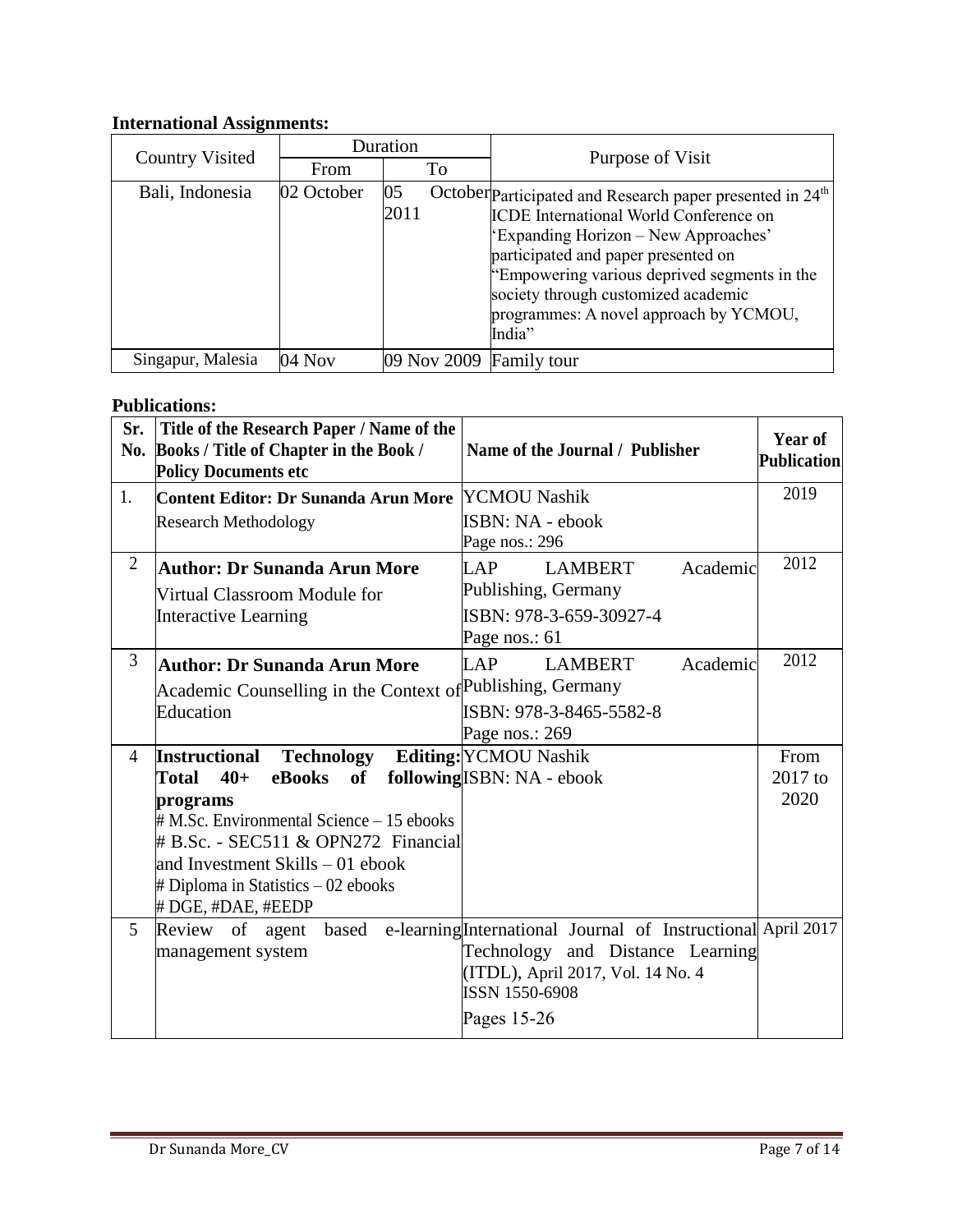## **International Assignments:**

|                        | Duration   |                         |                                                                                                                                                                                                                                                                                                                                                  |  |
|------------------------|------------|-------------------------|--------------------------------------------------------------------------------------------------------------------------------------------------------------------------------------------------------------------------------------------------------------------------------------------------------------------------------------------------|--|
| <b>Country Visited</b> | From       | To                      | Purpose of Visit                                                                                                                                                                                                                                                                                                                                 |  |
| Bali, Indonesia        | 02 October | 05<br>2011              | October Participated and Research paper presented in 24 <sup>th</sup><br><b>ICDE</b> International World Conference on<br>'Expanding Horizon – New Approaches'<br>participated and paper presented on<br>"Empowering various deprived segments in the<br>society through customized academic<br>programmes: A novel approach by YCMOU,<br>India" |  |
| Singapur, Malesia      | 04 Nov     | 09 Nov 2009 Family tour |                                                                                                                                                                                                                                                                                                                                                  |  |

### **Publications:**

| Sr.<br>No.     | Title of the Research Paper / Name of the<br>Books / Title of Chapter in the Book /<br><b>Policy Documents etc</b> | Name of the Journal / Publisher                                    | Year of<br>Publication |
|----------------|--------------------------------------------------------------------------------------------------------------------|--------------------------------------------------------------------|------------------------|
| 1.             | Content Editor: Dr Sunanda Arun More                                                                               | <b>YCMOU Nashik</b>                                                | 2019                   |
|                | <b>Research Methodology</b>                                                                                        | ISBN: NA - ebook<br>Page nos.: 296                                 |                        |
| $\overline{2}$ | <b>Author: Dr Sunanda Arun More</b>                                                                                | <b>LAP</b><br>Academic<br><b>LAMBERT</b>                           | 2012                   |
|                | Virtual Classroom Module for                                                                                       | Publishing, Germany                                                |                        |
|                | <b>Interactive Learning</b>                                                                                        | ISBN: 978-3-659-30927-4                                            |                        |
|                |                                                                                                                    | Page nos.: 61                                                      |                        |
| 3              | <b>Author: Dr Sunanda Arun More</b>                                                                                | <b>LAP</b><br>Academic<br><b>LAMBERT</b>                           | 2012                   |
|                | Academic Counselling in the Context of Publishing, Germany                                                         |                                                                    |                        |
|                | Education                                                                                                          | ISBN: 978-3-8465-5582-8                                            |                        |
|                |                                                                                                                    | Page nos.: 269                                                     |                        |
| $\overline{4}$ | <b>Technology</b><br><b>Instructional</b>                                                                          | <b>Editing:</b> YCMOU Nashik                                       | From                   |
|                | eBooks<br>Total<br>$40+$<br>of                                                                                     | following ISBN: NA - ebook                                         | 2017 to                |
|                | programs                                                                                                           |                                                                    | 2020                   |
|                | $\#$ M.Sc. Environmental Science $-15$ ebooks<br># B.Sc. - SEC511 & OPN272 Financial                               |                                                                    |                        |
|                | and Investment Skills – 01 ebook                                                                                   |                                                                    |                        |
|                | $\#$ Diploma in Statistics $-02$ ebooks                                                                            |                                                                    |                        |
|                | # DGE, #DAE, #EEDP                                                                                                 |                                                                    |                        |
| 5              | Review of agent                                                                                                    | based e-learning International Journal of Instructional April 2017 |                        |
|                | management system                                                                                                  | Technology and Distance Learning                                   |                        |
|                |                                                                                                                    | (ITDL), April 2017, Vol. 14 No. 4                                  |                        |
|                |                                                                                                                    | <b>ISSN 1550-6908</b>                                              |                        |
|                |                                                                                                                    | Pages $15-26$                                                      |                        |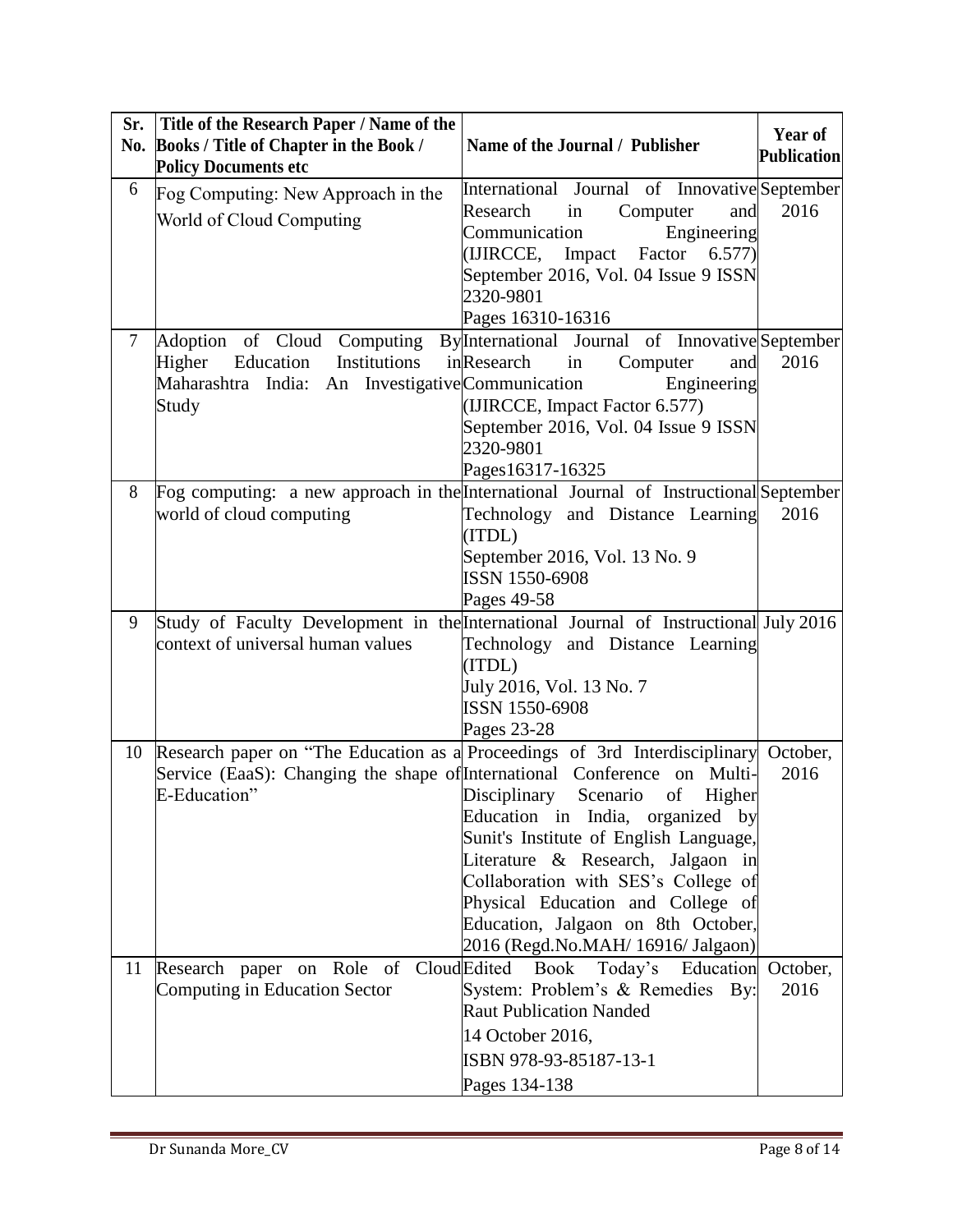| Sr.            | Title of the Research Paper / Name of the                                             |                                                                                        | Year of            |
|----------------|---------------------------------------------------------------------------------------|----------------------------------------------------------------------------------------|--------------------|
|                | No. Books / Title of Chapter in the Book /                                            | Name of the Journal / Publisher                                                        | <b>Publication</b> |
|                | <b>Policy Documents etc</b>                                                           |                                                                                        |                    |
| 6              | Fog Computing: New Approach in the                                                    | International Journal of Innovative September                                          |                    |
|                | World of Cloud Computing                                                              | Research<br>Computer<br>and<br>in                                                      | 2016               |
|                |                                                                                       | Communication<br>Engineering                                                           |                    |
|                |                                                                                       | (IJIRCCE, Impact Factor<br>6.577)                                                      |                    |
|                |                                                                                       | September 2016, Vol. 04 Issue 9 ISSN                                                   |                    |
|                |                                                                                       | 2320-9801                                                                              |                    |
|                |                                                                                       | Pages 16310-16316                                                                      |                    |
| $\overline{7}$ | Adoption of Cloud Computing<br>Education<br>Institutions                              | By <sup>International</sup> Journal of Innovative September<br>inResearch<br>and<br>in | 2016               |
|                | Higher<br>Maharashtra India: An Investigative Communication                           | Computer<br>Engineering                                                                |                    |
|                | Study                                                                                 | (IJIRCCE, Impact Factor 6.577)                                                         |                    |
|                |                                                                                       | September 2016, Vol. 04 Issue 9 ISSN                                                   |                    |
|                |                                                                                       | 2320-9801                                                                              |                    |
|                |                                                                                       | Pages16317-16325                                                                       |                    |
| 8              | Fog computing: a new approach in the International Journal of Instructional September |                                                                                        |                    |
|                | world of cloud computing                                                              | Technology and Distance Learning                                                       | 2016               |
|                |                                                                                       | (ITDL)                                                                                 |                    |
|                |                                                                                       | September 2016, Vol. 13 No. 9                                                          |                    |
|                |                                                                                       | ISSN 1550-6908                                                                         |                    |
|                |                                                                                       | Pages 49-58                                                                            |                    |
| 9              | Study of Faculty Development in the International Journal of Instructional July 2016  |                                                                                        |                    |
|                | context of universal human values                                                     | Technology and Distance Learning                                                       |                    |
|                |                                                                                       | (ITDL)                                                                                 |                    |
|                |                                                                                       | July 2016, Vol. 13 No. 7<br><b>ISSN 1550-6908</b>                                      |                    |
|                |                                                                                       | Pages 23-28                                                                            |                    |
| 10             | Research paper on "The Education as a Proceedings of 3rd Interdisciplinary October,   |                                                                                        |                    |
|                | Service (EaaS): Changing the shape of International Conference                        | on Multi-                                                                              | 2016               |
|                | E-Education"                                                                          | Disciplinary<br>Scenario<br>of<br>Higher                                               |                    |
|                |                                                                                       | Education in India, organized by                                                       |                    |
|                |                                                                                       | Sunit's Institute of English Language,                                                 |                    |
|                |                                                                                       | Literature & Research, Jalgaon in                                                      |                    |
|                |                                                                                       | Collaboration with SES's College of                                                    |                    |
|                |                                                                                       | Physical Education and College of                                                      |                    |
|                |                                                                                       | Education, Jalgaon on 8th October,                                                     |                    |
|                |                                                                                       | 2016 (Regd.No.MAH/ 16916/ Jalgaon)                                                     |                    |
| 11             | Role of Cloud Edited<br>Research paper on                                             | Book Today's Education October,                                                        |                    |
|                | Computing in Education Sector                                                         | System: Problem's & Remedies By:<br><b>Raut Publication Nanded</b>                     | 2016               |
|                |                                                                                       |                                                                                        |                    |
|                |                                                                                       | 14 October 2016,                                                                       |                    |
|                |                                                                                       | ISBN 978-93-85187-13-1                                                                 |                    |
|                |                                                                                       | Pages 134-138                                                                          |                    |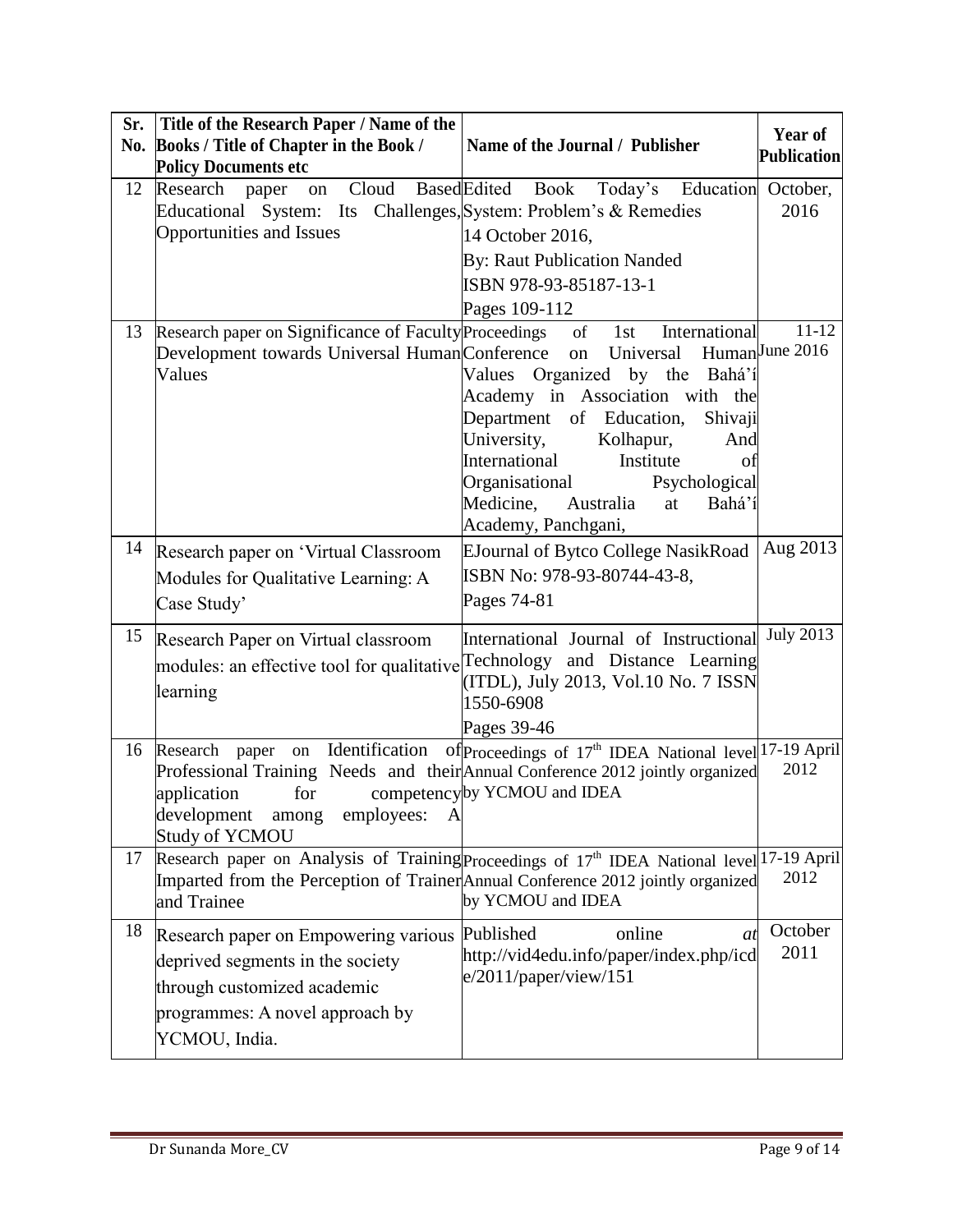| Sr.<br>No. | Title of the Research Paper / Name of the<br>Books / Title of Chapter in the Book /                                                                                                                                   | Name of the Journal / Publisher                                                                                                                                                                                                                                                                        | Year of<br><b>Publication</b> |
|------------|-----------------------------------------------------------------------------------------------------------------------------------------------------------------------------------------------------------------------|--------------------------------------------------------------------------------------------------------------------------------------------------------------------------------------------------------------------------------------------------------------------------------------------------------|-------------------------------|
| 12         | <b>Policy Documents etc</b><br>Research<br>paper                                                                                                                                                                      | on Cloud Based Edited Book Today's Education October,                                                                                                                                                                                                                                                  |                               |
|            | Educational System: Its Challenges, System: Problem's & Remedies                                                                                                                                                      |                                                                                                                                                                                                                                                                                                        | 2016                          |
|            | <b>Opportunities and Issues</b>                                                                                                                                                                                       | 14 October 2016,                                                                                                                                                                                                                                                                                       |                               |
|            |                                                                                                                                                                                                                       | By: Raut Publication Nanded                                                                                                                                                                                                                                                                            |                               |
|            |                                                                                                                                                                                                                       | ISBN 978-93-85187-13-1                                                                                                                                                                                                                                                                                 |                               |
| 13         | Research paper on Significance of Faculty Proceedings                                                                                                                                                                 | Pages 109-112<br>International<br>$of$ <sup><math>-</math></sup><br>1st                                                                                                                                                                                                                                | $11 - 12$                     |
|            | Development towards Universal HumanConference<br>Values                                                                                                                                                               | Universal<br>on<br>Values Organized by the Bahá'í<br>Academy in Association with the<br>Department of Education,<br>Shivaji<br>University,<br>Kolhapur,<br>And<br>Institute<br>International<br>of<br>Organisational<br>Psychological<br>Medicine,<br>Australia<br>Bahá'í<br>at<br>Academy, Panchgani, | HumanJune 2016                |
| 14         | Research paper on 'Virtual Classroom                                                                                                                                                                                  | EJournal of Bytco College NasikRoad                                                                                                                                                                                                                                                                    | Aug 2013                      |
|            | Modules for Qualitative Learning: A                                                                                                                                                                                   | ISBN No: 978-93-80744-43-8,                                                                                                                                                                                                                                                                            |                               |
|            | Case Study'                                                                                                                                                                                                           | Pages 74-81                                                                                                                                                                                                                                                                                            |                               |
| 15         | Research Paper on Virtual classroom<br>modules: an effective tool for qualitative Technology and Distance Learning<br>learning                                                                                        | International Journal of Instructional<br>(ITDL), July 2013, Vol.10 No. 7 ISSN<br>1550-6908<br>Pages 39-46                                                                                                                                                                                             | <b>July 2013</b>              |
| 16         | Identification<br>Research<br>paper<br>on<br>Professional Training Needs and their Annual Conference 2012 jointly organized<br>application<br>for<br>development<br>among<br>employees:<br>A<br><b>Study of YCMOU</b> | of Proceedings of 17 <sup>th</sup> IDEA National level 17-19 April<br>competency by YCMOU and IDEA                                                                                                                                                                                                     | 2012                          |
| 17         | Research paper on Analysis of Training Proceedings of 17 <sup>th</sup> IDEA National level 17-19 April<br>Imparted from the Perception of Trainer Annual Conference 2012 jointly organized<br>and Trainee             | by YCMOU and IDEA                                                                                                                                                                                                                                                                                      | 2012                          |
| 18         | Research paper on Empowering various<br>deprived segments in the society<br>through customized academic<br>programmes: A novel approach by<br>YCMOU, India.                                                           | Published<br>online<br>at<br>http://vid4edu.info/paper/index.php/icd<br>e/2011/paper/view/151                                                                                                                                                                                                          | October<br>2011               |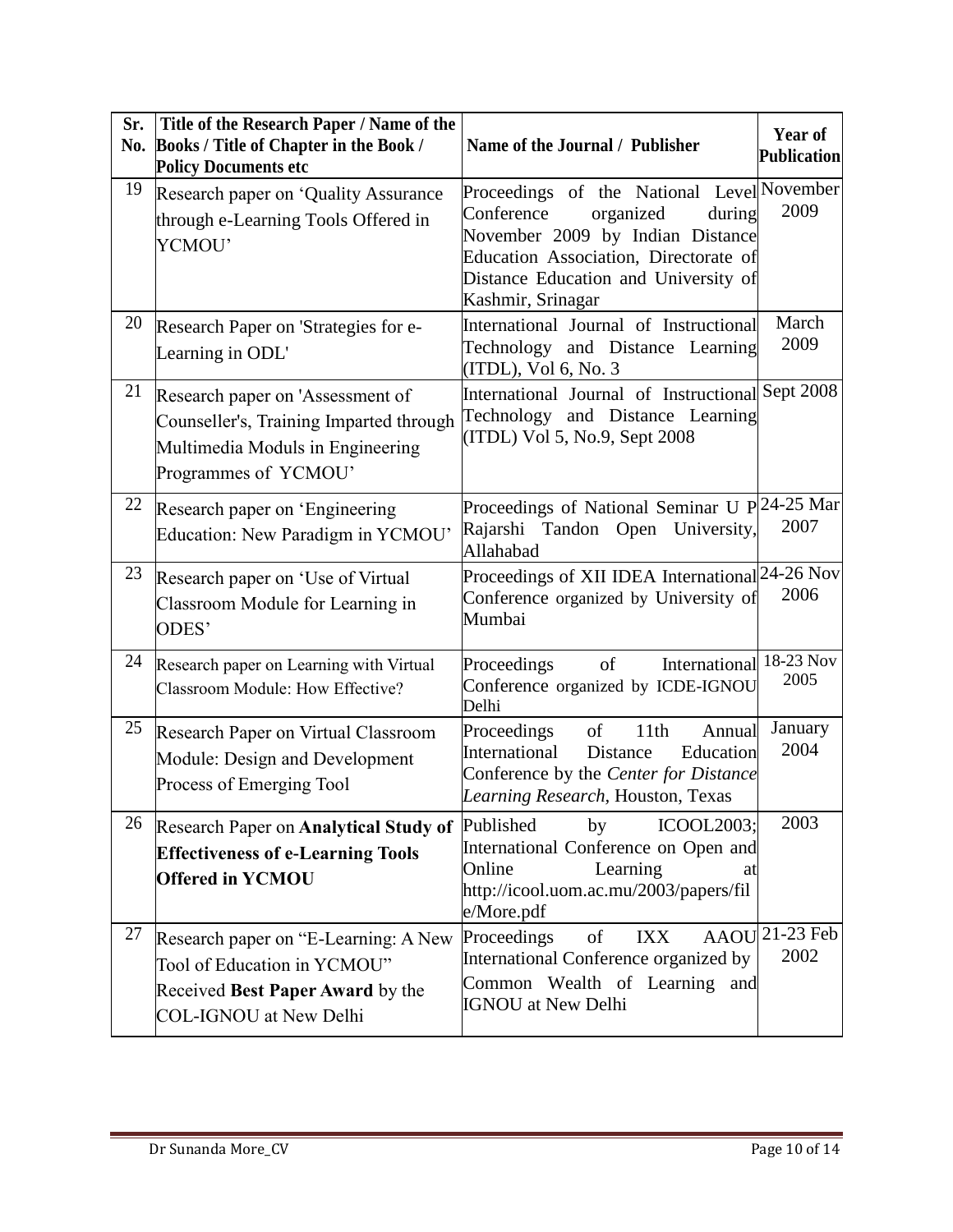| Sr. | Title of the Research Paper / Name of the                                                                                                |                                                                                                                                                                                                                           | Year of            |
|-----|------------------------------------------------------------------------------------------------------------------------------------------|---------------------------------------------------------------------------------------------------------------------------------------------------------------------------------------------------------------------------|--------------------|
| No. | Books / Title of Chapter in the Book /<br><b>Policy Documents etc</b>                                                                    | Name of the Journal / Publisher                                                                                                                                                                                           | <b>Publication</b> |
| 19  | Research paper on 'Quality Assurance<br>through e-Learning Tools Offered in<br>YCMOU'                                                    | Proceedings of the National Level November<br>Conference<br>organized<br>during<br>November 2009 by Indian Distance<br>Education Association, Directorate of<br>Distance Education and University of<br>Kashmir, Srinagar | 2009               |
| 20  | Research Paper on 'Strategies for e-<br>Learning in ODL'                                                                                 | International Journal of Instructional<br>Technology and Distance Learning<br>(ITDL), Vol 6, No. 3                                                                                                                        | March<br>2009      |
| 21  | Research paper on 'Assessment of<br>Counseller's, Training Imparted through<br>Multimedia Moduls in Engineering<br>Programmes of YCMOU'  | International Journal of Instructional<br>Technology and Distance Learning<br>(ITDL) Vol 5, No.9, Sept 2008                                                                                                               | Sept 2008          |
| 22  | Research paper on 'Engineering<br>Education: New Paradigm in YCMOU'                                                                      | Proceedings of National Seminar U P 24-25 Mar<br>Rajarshi Tandon Open University,<br>Allahabad                                                                                                                            | 2007               |
| 23  | Research paper on 'Use of Virtual<br>Classroom Module for Learning in<br>ODES'                                                           | Proceedings of XII IDEA International 24-26 Nov<br>Conference organized by University of<br>Mumbai                                                                                                                        | 2006               |
| 24  | Research paper on Learning with Virtual<br>Classroom Module: How Effective?                                                              | Proceedings<br>of<br>International<br>Conference organized by ICDE-IGNOU<br>Delhi                                                                                                                                         | 18-23 Nov<br>2005  |
| 25  | Research Paper on Virtual Classroom<br>Module: Design and Development<br>Process of Emerging Tool                                        | Proceedings<br>of<br>11th<br>Annual<br>International<br>Distance<br>Education<br>Conference by the Center for Distance<br>Learning Research, Houston, Texas                                                               | January<br>2004    |
| 26  | Research Paper on Analytical Study of Published<br><b>Effectiveness of e-Learning Tools</b><br><b>Offered in YCMOU</b>                   | ICOOL2003;<br>by<br>International Conference on Open and<br>Online<br>Learning<br>at<br>http://icool.uom.ac.mu/2003/papers/fil<br>e/More.pdf                                                                              | 2003               |
| 27  | Research paper on "E-Learning: A New<br>Tool of Education in YCMOU"<br>Received Best Paper Award by the<br><b>COL-IGNOU</b> at New Delhi | of<br><b>AAOU</b><br>Proceedings<br><b>IXX</b><br>International Conference organized by<br>Common Wealth of Learning and<br><b>IGNOU</b> at New Delhi                                                                     | 21-23 Feb<br>2002  |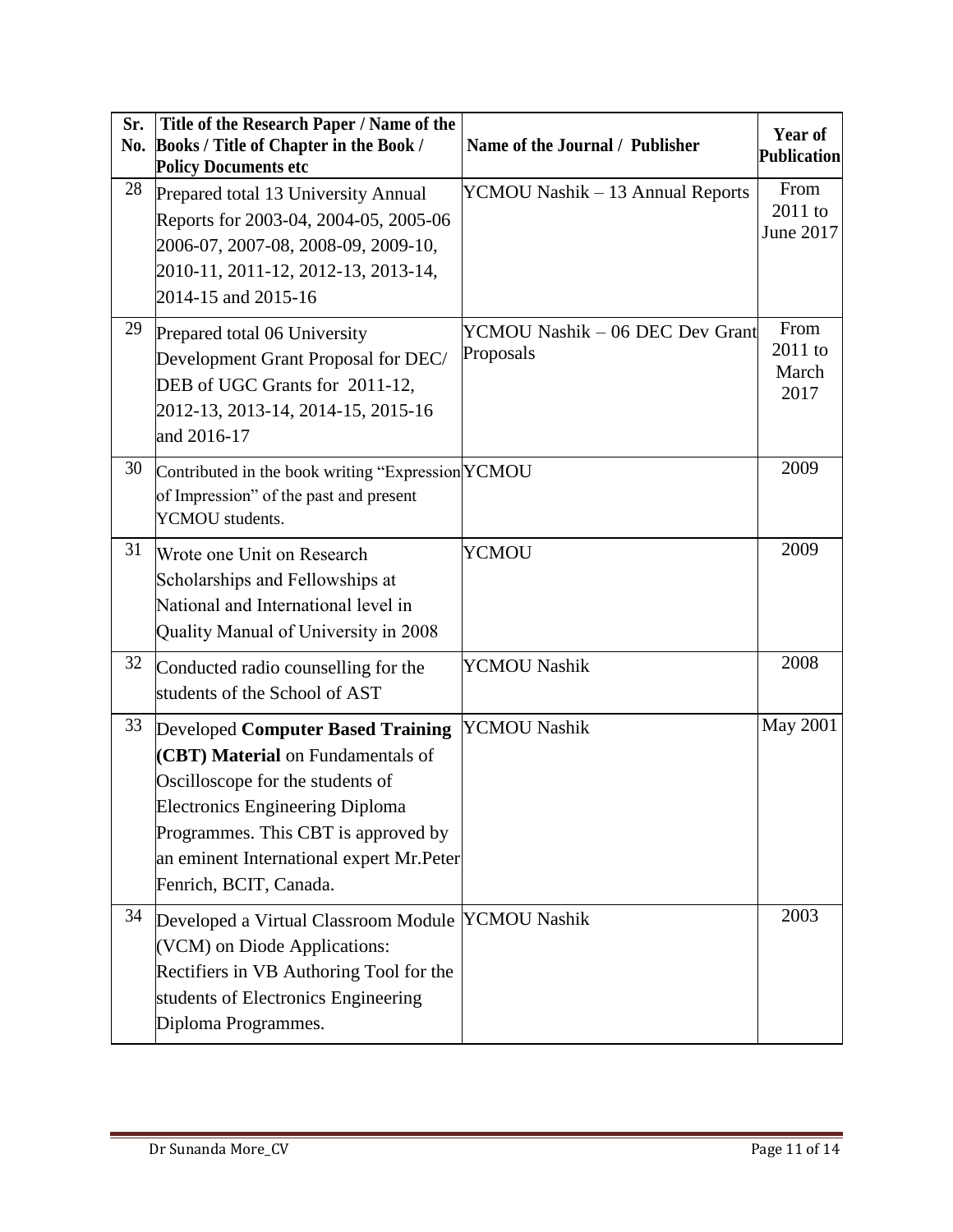| Sr.<br>No. | Title of the Research Paper / Name of the<br>Books / Title of Chapter in the Book /<br><b>Policy Documents etc</b>                                                                                                                                                        | Name of the Journal / Publisher              | Year of<br><b>Publication</b>    |
|------------|---------------------------------------------------------------------------------------------------------------------------------------------------------------------------------------------------------------------------------------------------------------------------|----------------------------------------------|----------------------------------|
| 28         | Prepared total 13 University Annual<br>Reports for 2003-04, 2004-05, 2005-06<br>2006-07, 2007-08, 2008-09, 2009-10,<br>2010-11, 2011-12, 2012-13, 2013-14,<br>2014-15 and 2015-16                                                                                         | YCMOU Nashik – 13 Annual Reports             | From<br>2011 to<br>June 2017     |
| 29         | Prepared total 06 University<br>Development Grant Proposal for DEC/<br>DEB of UGC Grants for 2011-12,<br>2012-13, 2013-14, 2014-15, 2015-16<br>and 2016-17                                                                                                                | YCMOU Nashik – 06 DEC Dev Grant<br>Proposals | From<br>2011 to<br>March<br>2017 |
| 30         | Contributed in the book writing "Expression YCMOU<br>of Impression" of the past and present<br>YCMOU students.                                                                                                                                                            |                                              | 2009                             |
| 31         | Wrote one Unit on Research<br>Scholarships and Fellowships at<br>National and International level in<br>Quality Manual of University in 2008                                                                                                                              | <b>YCMOU</b>                                 | 2009                             |
| 32         | Conducted radio counselling for the<br>students of the School of AST                                                                                                                                                                                                      | <b>YCMOU Nashik</b>                          | 2008                             |
| 33         | <b>Developed Computer Based Training</b><br>(CBT) Material on Fundamentals of<br>Oscilloscope for the students of<br><b>Electronics Engineering Diploma</b><br>Programmes. This CBT is approved by<br>an eminent International expert Mr. Peter<br>Fenrich, BCIT, Canada. | YCMOU Nashik                                 | <b>May 2001</b>                  |
| 34         | Developed a Virtual Classroom Module YCMOU Nashik<br>(VCM) on Diode Applications:<br>Rectifiers in VB Authoring Tool for the<br>students of Electronics Engineering<br>Diploma Programmes.                                                                                |                                              | 2003                             |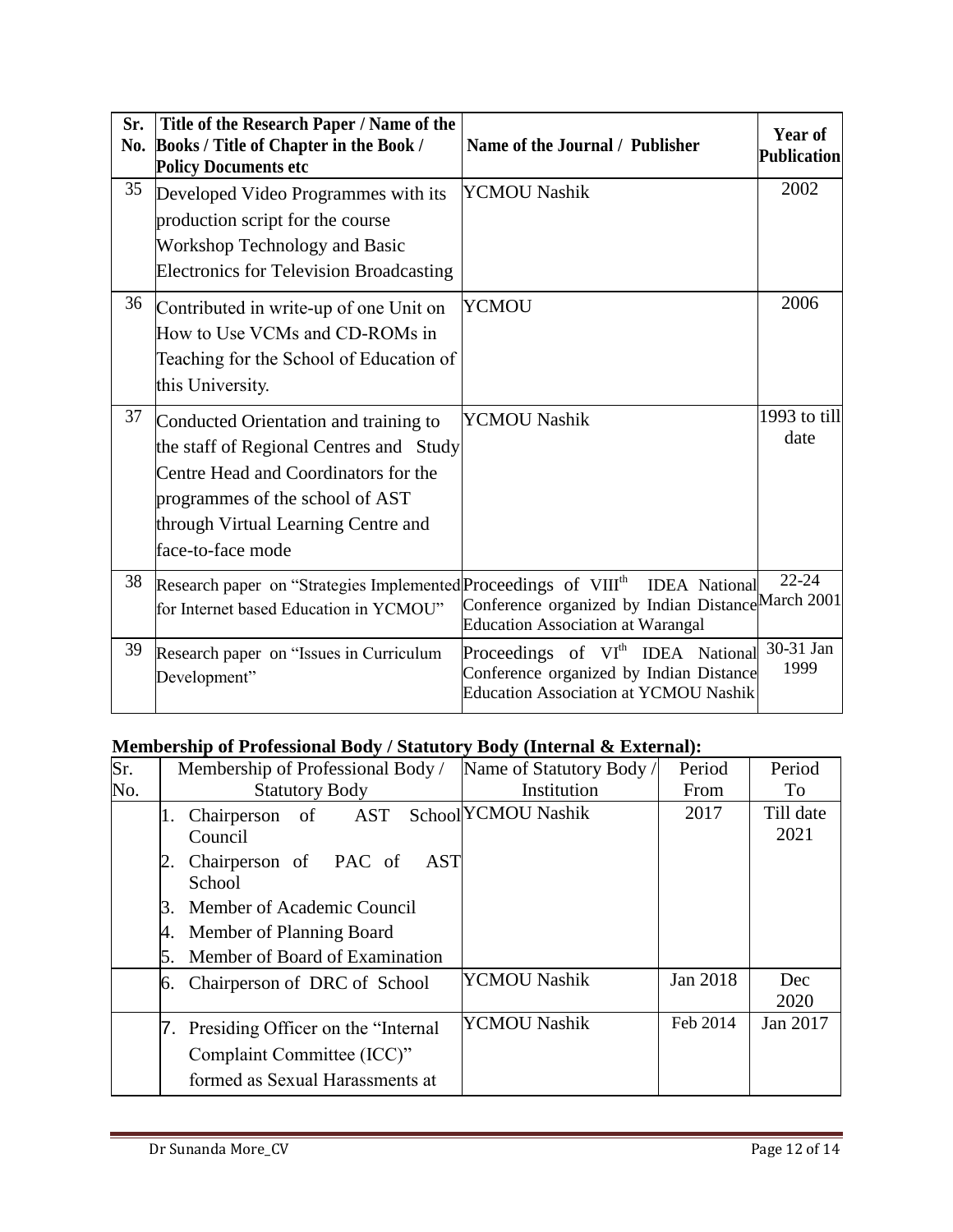| Sr.<br>No. | Title of the Research Paper / Name of the<br>Books / Title of Chapter in the Book /<br><b>Policy Documents etc</b>                                                                                                      | Name of the Journal / Publisher                                                                                                          | Year of<br><b>Publication</b> |
|------------|-------------------------------------------------------------------------------------------------------------------------------------------------------------------------------------------------------------------------|------------------------------------------------------------------------------------------------------------------------------------------|-------------------------------|
| 35         | Developed Video Programmes with its<br>production script for the course<br><b>Workshop Technology and Basic</b><br><b>Electronics for Television Broadcasting</b>                                                       | YCMOU Nashik                                                                                                                             | 2002                          |
| 36         | Contributed in write-up of one Unit on<br>How to Use VCMs and CD-ROMs in<br>Teaching for the School of Education of<br>this University.                                                                                 | <b>YCMOU</b>                                                                                                                             | 2006                          |
| 37         | Conducted Orientation and training to<br>the staff of Regional Centres and Study<br>Centre Head and Coordinators for the<br>programmes of the school of AST<br>through Virtual Learning Centre and<br>face-to-face mode | YCMOU Nashik                                                                                                                             | 1993 to till<br>date          |
| 38         | Research paper on "Strategies Implemented Proceedings of VIII <sup>th</sup><br>for Internet based Education in YCMOU"                                                                                                   | <b>IDEA</b> National<br>Conference organized by Indian Distance March 2001<br><b>Education Association at Warangal</b>                   | $22 - 24$                     |
| 39         | Research paper on "Issues in Curriculum<br>Development"                                                                                                                                                                 | Proceedings of VI <sup>th</sup> IDEA National<br>Conference organized by Indian Distance<br><b>Education Association at YCMOU Nashik</b> | 30-31 Jan<br>1999             |

# **Membership of Professional Body / Statutory Body (Internal & External):**

| Sr. | Membership of Professional Body /             | Name of Statutory Body / | Period   | Period            |
|-----|-----------------------------------------------|--------------------------|----------|-------------------|
| No. | <b>Statutory Body</b>                         | Institution              | From     | To                |
|     | AST<br>Chairperson of<br>Council              | School YCMOU Nashik      | 2017     | Till date<br>2021 |
|     | Chairperson of PAC of<br><b>AST</b><br>School |                          |          |                   |
|     | Member of Academic Council<br>3.              |                          |          |                   |
|     | Member of Planning Board<br>4.                |                          |          |                   |
|     | Member of Board of Examination<br>5.          |                          |          |                   |
|     | Chairperson of DRC of School<br>6.            | <b>YCMOU Nashik</b>      | Jan 2018 | Dec<br>2020       |
|     | 7. Presiding Officer on the "Internal"        | <b>YCMOU Nashik</b>      | Feb 2014 | Jan 2017          |
|     | Complaint Committee (ICC)"                    |                          |          |                   |
|     | formed as Sexual Harassments at               |                          |          |                   |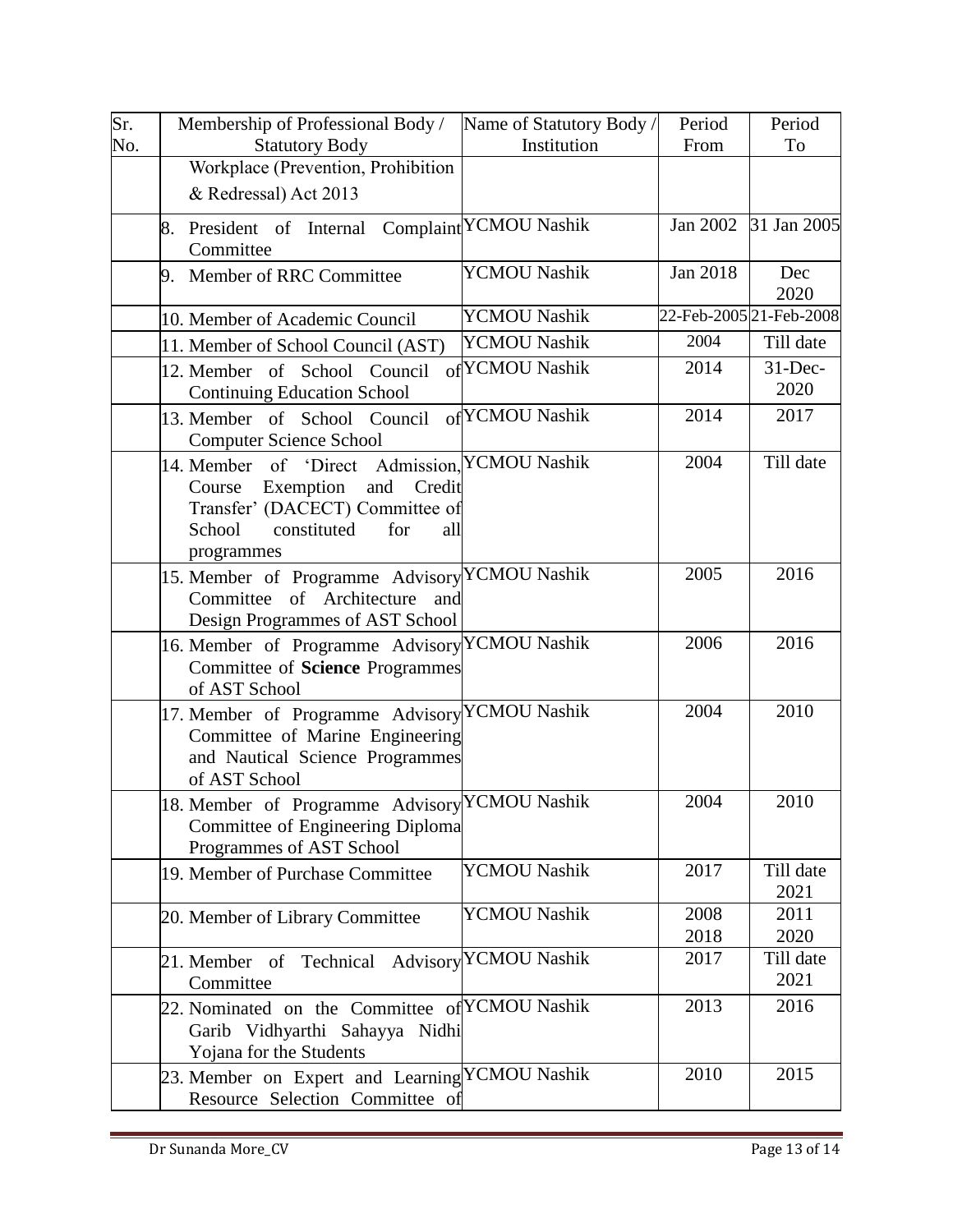| Sr. | Membership of Professional Body /                                                                                                                                             | Name of Statutory Body / | Period       | Period                  |
|-----|-------------------------------------------------------------------------------------------------------------------------------------------------------------------------------|--------------------------|--------------|-------------------------|
| No. | <b>Statutory Body</b>                                                                                                                                                         | Institution              | From         | To                      |
|     | Workplace (Prevention, Prohibition                                                                                                                                            |                          |              |                         |
|     | & Redressal) Act 2013                                                                                                                                                         |                          |              |                         |
|     | President of Internal Complaint YCMOU Nashik<br>8.<br>Committee                                                                                                               |                          | Jan 2002     | 31 Jan 2005             |
|     | 9. Member of RRC Committee                                                                                                                                                    | <b>YCMOU Nashik</b>      | Jan 2018     | Dec<br>2020             |
|     | 10. Member of Academic Council                                                                                                                                                | <b>YCMOU Nashik</b>      |              | 22-Feb-2005 21-Feb-2008 |
|     | 11. Member of School Council (AST)                                                                                                                                            | <b>YCMOU Nashik</b>      | 2004         | Till date               |
|     | 12. Member of School Council<br><b>Continuing Education School</b>                                                                                                            | of YCMOU Nashik          | 2014         | $31$ -Dec-<br>2020      |
|     | 13. Member of School Council<br><b>Computer Science School</b>                                                                                                                | of YCMOU Nashik          | 2014         | 2017                    |
|     | 14. Member of 'Direct Admission, YCMOU Nashik<br>Exemption<br>Credit<br>Course<br>and<br>Transfer' (DACECT) Committee of<br>School<br>constituted<br>for<br>all<br>programmes |                          | 2004         | Till date               |
|     | 15. Member of Programme Advisory YCMOU Nashik<br>Committee of Architecture<br>and<br>Design Programmes of AST School                                                          |                          | 2005         | 2016                    |
|     | 16. Member of Programme Advisory YCMOU Nashik<br>Committee of Science Programmes<br>of AST School                                                                             |                          | 2006         | 2016                    |
|     | 17. Member of Programme Advisory YCMOU Nashik<br>Committee of Marine Engineering<br>and Nautical Science Programmes<br>of AST School                                          |                          | 2004         | 2010                    |
|     | 18. Member of Programme Advisory YCMOU Nashik<br>Committee of Engineering Diploma<br>Programmes of AST School                                                                 |                          | 2004         | 2010                    |
|     | 19. Member of Purchase Committee                                                                                                                                              | <b>YCMOU Nashik</b>      | 2017         | Till date<br>2021       |
|     | 20. Member of Library Committee                                                                                                                                               | <b>YCMOU Nashik</b>      | 2008<br>2018 | 2011<br>2020            |
|     | 21. Member of Technical<br>Committee                                                                                                                                          | Advisory YCMOU Nashik    | 2017         | Till date<br>2021       |
|     | 22. Nominated on the Committee of YCMOU Nashik<br>Garib Vidhyarthi Sahayya Nidhi<br>Yojana for the Students                                                                   |                          | 2013         | 2016                    |
|     | 23. Member on Expert and Learning YCMOU Nashik<br>Resource Selection Committee of                                                                                             |                          | 2010         | 2015                    |